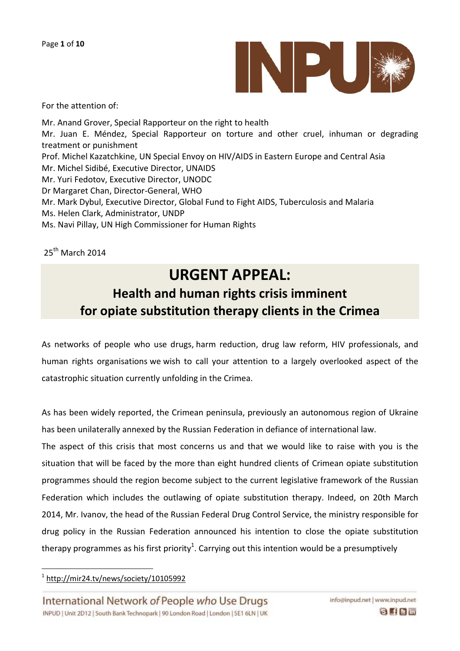

For the attention of:

Mr. Anand Grover, Special Rapporteur on the right to health Mr. Juan E. Méndez, Special Rapporteur on torture and other cruel, inhuman or degrading treatment or punishment Prof. Michel Kazatchkine, UN Special Envoy on HIV/AIDS in Eastern Europe and Central Asia Mr. Michel Sidibé, Executive Director, UNAIDS Mr. Yuri Fedotov, Executive Director, UNODC Dr Margaret Chan, Director-General, WHO Mr. Mark Dybul, Executive Director, Global Fund to Fight AIDS, Tuberculosis and Malaria Ms. Helen Clark, Administrator, UNDP Ms. Navi Pillay, UN High Commissioner for Human Rights

25th March 2014

## **URGENT APPEAL: Health and human rights crisis imminent for opiate substitution therapy clients in the Crimea**

As networks of people who use drugs, harm reduction, drug law reform, HIV professionals, and human rights organisations we wish to call your attention to a largely overlooked aspect of the catastrophic situation currently unfolding in the Crimea.

As has been widely reported, the Crimean peninsula, previously an autonomous region of Ukraine has been unilaterally annexed by the Russian Federation in defiance of international law.

The aspect of this crisis that most concerns us and that we would like to raise with you is the situation that will be faced by the more than eight hundred clients of Crimean opiate substitution programmes should the region become subject to the current legislative framework of the Russian Federation which includes the outlawing of opiate substitution therapy. Indeed, on 20th March 2014, Mr. Ivanov, the head of the Russian Federal Drug Control Service, the ministry responsible for drug policy in the Russian Federation announced his intention to close the opiate substitution therapy programmes as his first priority $^1$ . Carrying out this intention would be a presumptively

1 <http://mir24.tv/news/society/10105992>

 $\overline{a}$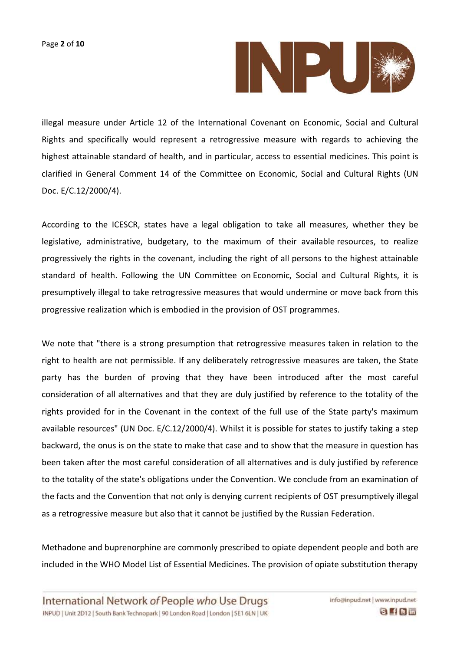

illegal measure under Article 12 of the International Covenant on Economic, Social and Cultural Rights and specifically would represent a retrogressive measure with regards to achieving the highest attainable standard of health, and in particular, access to essential medicines. This point is clarified in General Comment 14 of the Committee on Economic, Social and Cultural Rights (UN Doc. E/C.12/2000/4).

According to the ICESCR, states have a legal obligation to take all measures, whether they be legislative, administrative, budgetary, to the maximum of their available resources, to realize progressively the rights in the covenant, including the right of all persons to the highest attainable standard of health. Following the UN Committee on Economic, Social and Cultural Rights, it is presumptively illegal to take retrogressive measures that would undermine or move back from this progressive realization which is embodied in the provision of OST programmes.

We note that "there is a strong presumption that retrogressive measures taken in relation to the right to health are not permissible. If any deliberately retrogressive measures are taken, the State party has the burden of proving that they have been introduced after the most careful consideration of all alternatives and that they are duly justified by reference to the totality of the rights provided for in the Covenant in the context of the full use of the State party's maximum available resources" (UN Doc. E/C.12/2000/4). Whilst it is possible for states to justify taking a step backward, the onus is on the state to make that case and to show that the measure in question has been taken after the most careful consideration of all alternatives and is duly justified by reference to the totality of the state's obligations under the Convention. We conclude from an examination of the facts and the Convention that not only is denying current recipients of OST presumptively illegal as a retrogressive measure but also that it cannot be justified by the Russian Federation.

Methadone and buprenorphine are commonly prescribed to opiate dependent people and both are included in the WHO Model List of Essential Medicines. The provision of opiate substitution therapy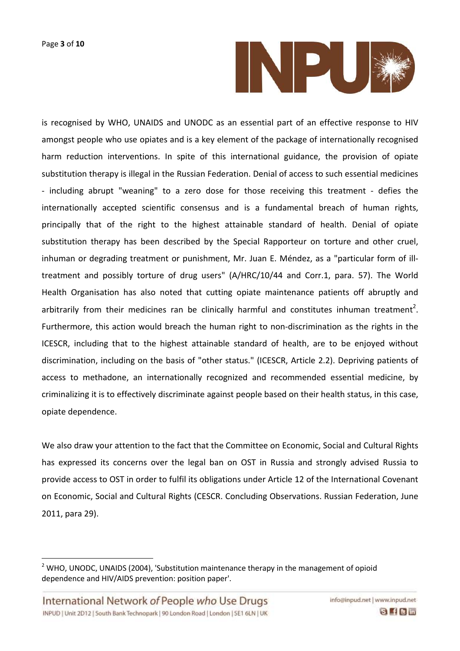

is recognised by WHO, UNAIDS and UNODC as an essential part of an effective response to HIV amongst people who use opiates and is a key element of the package of internationally recognised harm reduction interventions. In spite of this international guidance, the provision of opiate substitution therapy is illegal in the Russian Federation. Denial of access to such essential medicines - including abrupt "weaning" to a zero dose for those receiving this treatment - defies the internationally accepted scientific consensus and is a fundamental breach of human rights, principally that of the right to the highest attainable standard of health. Denial of opiate substitution therapy has been described by the Special Rapporteur on torture and other cruel, inhuman or degrading treatment or punishment, Mr. Juan E. Méndez, as a "particular form of illtreatment and possibly torture of drug users" (A/HRC/10/44 and Corr.1, para. 57). The World Health Organisation has also noted that cutting opiate maintenance patients off abruptly and arbitrarily from their medicines ran be clinically harmful and constitutes inhuman treatment<sup>2</sup>. Furthermore, this action would breach the human right to non-discrimination as the rights in the ICESCR, including that to the highest attainable standard of health, are to be enjoyed without discrimination, including on the basis of "other status." (ICESCR, Article 2.2). Depriving patients of access to methadone, an internationally recognized and recommended essential medicine, by criminalizing it is to effectively discriminate against people based on their health status, in this case, opiate dependence.

We also draw your attention to the fact that the Committee on Economic, Social and Cultural Rights has expressed its concerns over the legal ban on OST in Russia and strongly advised Russia to provide access to OST in order to fulfil its obligations under Article 12 of the International Covenant on Economic, Social and Cultural Rights (CESCR. Concluding Observations. Russian Federation, June 2011, para 29).

 $\overline{a}$ 

<sup>&</sup>lt;sup>2</sup> WHO, UNODC, UNAIDS (2004), 'Substitution maintenance therapy in the management of opioid dependence and HIV/AIDS prevention: position paper'.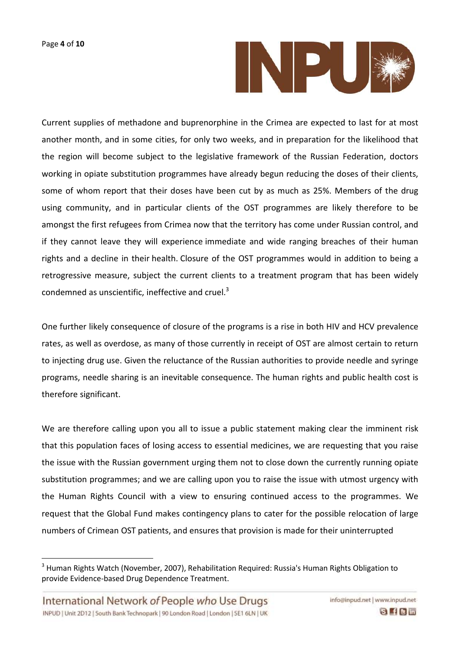

Current supplies of methadone and buprenorphine in the Crimea are expected to last for at most another month, and in some cities, for only two weeks, and in preparation for the likelihood that the region will become subject to the legislative framework of the Russian Federation, doctors working in opiate substitution programmes have already begun reducing the doses of their clients, some of whom report that their doses have been cut by as much as 25%. Members of the drug using community, and in particular clients of the OST programmes are likely therefore to be amongst the first refugees from Crimea now that the territory has come under Russian control, and if they cannot leave they will experience immediate and wide ranging breaches of their human rights and a decline in their health. Closure of the OST programmes would in addition to being a retrogressive measure, subject the current clients to a treatment program that has been widely condemned as unscientific, ineffective and cruel.<sup>3</sup>

One further likely consequence of closure of the programs is a rise in both HIV and HCV prevalence rates, as well as overdose, as many of those currently in receipt of OST are almost certain to return to injecting drug use. Given the reluctance of the Russian authorities to provide needle and syringe programs, needle sharing is an inevitable consequence. The human rights and public health cost is therefore significant.

We are therefore calling upon you all to issue a public statement making clear the imminent risk that this population faces of losing access to essential medicines, we are requesting that you raise the issue with the Russian government urging them not to close down the currently running opiate substitution programmes; and we are calling upon you to raise the issue with utmost urgency with the Human Rights Council with a view to ensuring continued access to the programmes. We request that the Global Fund makes contingency plans to cater for the possible relocation of large numbers of Crimean OST patients, and ensures that provision is made for their uninterrupted

 $\overline{a}$ 

<sup>&</sup>lt;sup>3</sup> Human Rights Watch (November, 2007), Rehabilitation Required: Russia's Human Rights Obligation to provide Evidence-based Drug Dependence Treatment.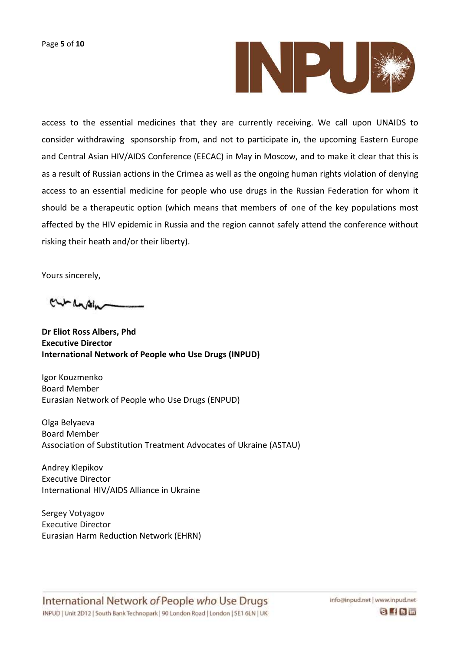

access to the essential medicines that they are currently receiving. We call upon UNAIDS to consider withdrawing sponsorship from, and not to participate in, the upcoming Eastern Europe and Central Asian HIV/AIDS Conference (EECAC) in May in Moscow, and to make it clear that this is as a result of Russian actions in the Crimea as well as the ongoing human rights violation of denying access to an essential medicine for people who use drugs in the Russian Federation for whom it should be a therapeutic option (which means that members of one of the key populations most affected by the HIV epidemic in Russia and the region cannot safely attend the conference without risking their heath and/or their liberty).

Yours sincerely,

curcasin

**Dr Eliot Ross Albers, Phd Executive Director International Network of People who Use Drugs (INPUD)**

Igor Kouzmenko Board Member Eurasian Network of People who Use Drugs (ENPUD)

Olga Belyaeva Board Member Association of Substitution Treatment Advocates of Ukraine (ASTAU)

Andrey Klepikov Executive Director International HIV/AIDS Alliance in Ukraine

Sergey Votyagov Executive Director Eurasian Harm Reduction Network (EHRN)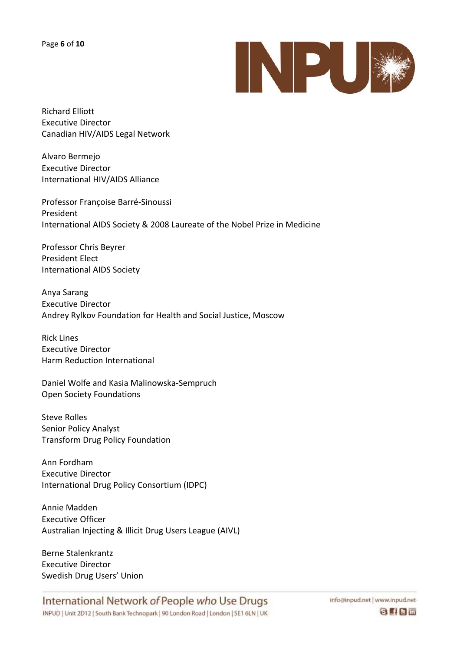

Richard Elliott Executive Director Canadian HIV/AIDS Legal Network

Alvaro Bermejo Executive Director International HIV/AIDS Alliance

Professor Françoise Barré-Sinoussi President International AIDS Society & 2008 Laureate of the Nobel Prize in Medicine

Professor Chris Beyrer President Elect International AIDS Society

Anya Sarang Executive Director Andrey Rylkov Foundation for Health and Social Justice, Moscow

Rick Lines Executive Director Harm Reduction International

Daniel Wolfe and Kasia Malinowska-Sempruch Open Society Foundations

Steve Rolles Senior Policy Analyst Transform Drug Policy Foundation

Ann Fordham Executive Director International Drug Policy Consortium (IDPC)

Annie Madden Executive Officer Australian Injecting & Illicit Drug Users League (AIVL)

Berne Stalenkrantz Executive Director Swedish Drug Users' Union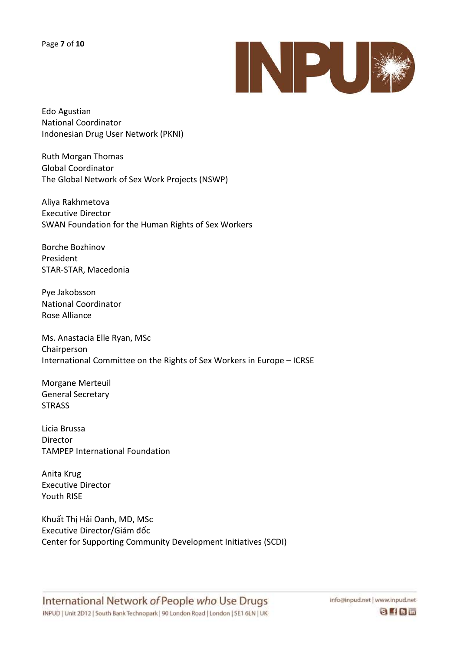

Edo Agustian National Coordinator Indonesian Drug User Network (PKNI)

Ruth Morgan Thomas Global Coordinator The Global Network of Sex Work Projects (NSWP)

Aliya Rakhmetova Executive Director SWAN Foundation for the Human Rights of Sex Workers

Borche Bozhinov President STAR-STAR, Macedonia

Pye Jakobsson National Coordinator Rose Alliance

Ms. Anastacia Elle Ryan, MSc Chairperson International Committee on the Rights of Sex Workers in Europe – ICRSE

Morgane Merteuil General Secretary **STRASS** 

Licia Brussa Director TAMPEP International Foundation

Anita Krug Executive Director Youth RISE

Khuất Thị Hải Oanh, MD, MSc Executive Director/Giám đốc Center for Supporting Community Development Initiatives (SCDI)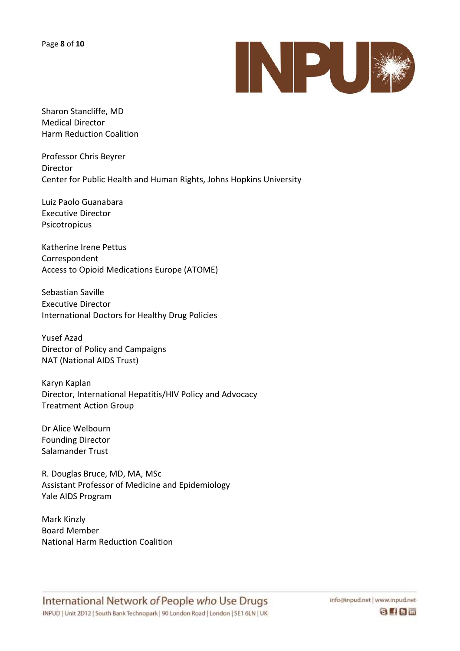

Sharon Stancliffe, MD Medical Director Harm Reduction Coalition

Professor Chris Beyrer Director Center for Public Health and Human Rights, Johns Hopkins University

Luiz Paolo Guanabara Executive Director Psicotropicus

Katherine Irene Pettus Correspondent Access to Opioid Medications Europe (ATOME)

Sebastian Saville Executive Director International Doctors for Healthy Drug Policies

Yusef Azad Director of Policy and Campaigns NAT (National AIDS Trust)

Karyn Kaplan Director, International Hepatitis/HIV Policy and Advocacy Treatment Action Group

Dr Alice Welbourn Founding Director Salamander Trust

R. Douglas Bruce, MD, MA, MSc Assistant Professor of Medicine and Epidemiology Yale AIDS Program

Mark Kinzly Board Member National Harm Reduction Coalition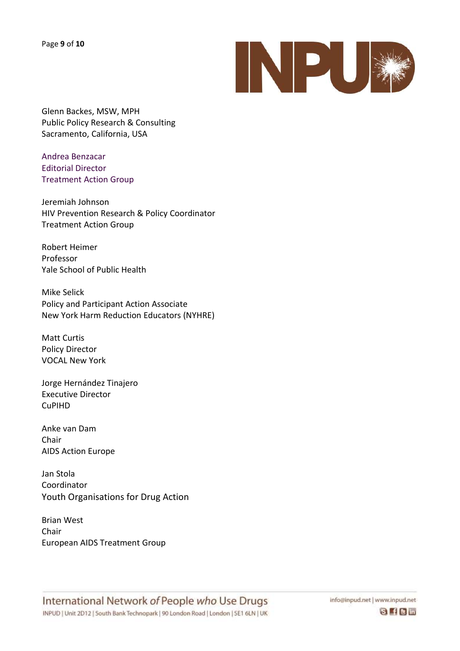Page **9** of **10**



Glenn Backes, MSW, MPH Public Policy Research & Consulting Sacramento, California, USA

Andrea Benzacar Editorial Director Treatment Action Group

Jeremiah Johnson HIV Prevention Research & Policy Coordinator Treatment Action Group

Robert Heimer Professor Yale School of Public Health

Mike Selick Policy and Participant Action Associate New York Harm Reduction Educators (NYHRE)

Matt Curtis Policy Director VOCAL New York

Jorge Hernández Tinajero Executive Director CuPIHD

Anke van Dam Chair AIDS Action Europe

Jan Stola Coordinator Youth Organisations for Drug Action

Brian West Chair European AIDS Treatment Group